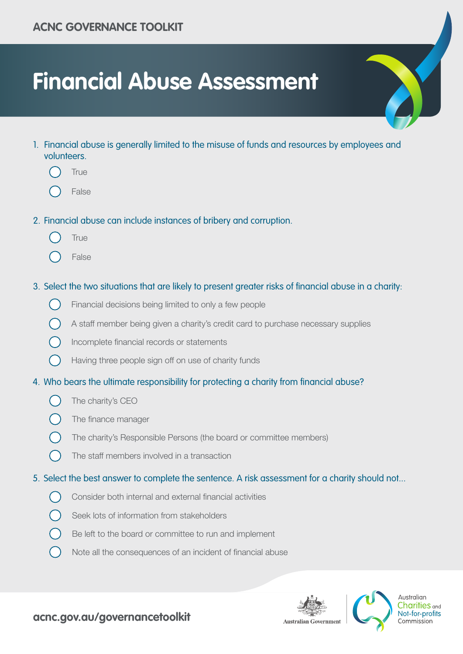# **Financial Abuse Assessment**

- 1. Financial abuse is generally limited to the misuse of funds and resources by employees and volunteers.
	- **True**
	- False
- 2. Financial abuse can include instances of bribery and corruption.
	- **True**
	- False

#### 3. Select the two situations that are likely to present greater risks of financial abuse in a charity:

- $\bigcap$ Financial decisions being limited to only a few people
	- A staff member being given a charity's credit card to purchase necessary supplies
- Incomplete financial records or statements
- $\left(\begin{array}{c} \end{array}\right)$ Having three people sign off on use of charity funds
- 4. Who bears the ultimate responsibility for protecting a charity from financial abuse?
	- The charity's CEO
	- The finance manager
	- The charity's Responsible Persons (the board or committee members)
	- The staff members involved in a transaction
- 5. Select the best answer to complete the sentence. A risk assessment for a charity should not...
	- $\left( \begin{array}{c} \end{array} \right)$ Consider both internal and external financial activities
		- Seek lots of information from stakeholders
		- Be left to the board or committee to run and implement
		- Note all the consequences of an incident of financial abuse





Australian Charities <sub>and</sub> Not-for-profits Commission

# **acnc.gov.au/governancetoolkit**

**Australian Governmen**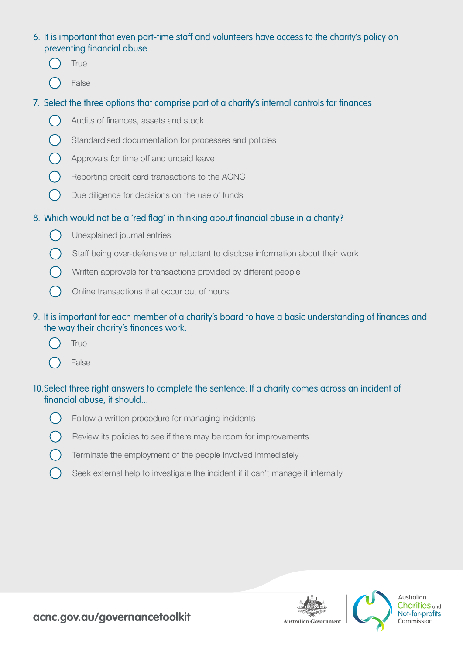#### 6. It is important that even part-time staff and volunteers have access to the charity's policy on preventing financial abuse.

- **True**
- False

# 7. Select the three options that comprise part of a charity's internal controls for finances

- Audits of finances, assets and stock
- Standardised documentation for processes and policies
- Approvals for time off and unpaid leave
- Reporting credit card transactions to the ACNC
- $\bigcap$ Due diligence for decisions on the use of funds

# 8. Which would not be a 'red flag' in thinking about financial abuse in a charity?

- $\left(\begin{array}{c} \end{array}\right)$ Unexplained journal entries
	- Staff being over-defensive or reluctant to disclose information about their work
	- Written approvals for transactions provided by different people
	- Online transactions that occur out of hours

### 9. It is important for each member of a charity's board to have a basic understanding of finances and the way their charity's finances work.

- True
- False

#### 10.Select three right answers to complete the sentence: If a charity comes across an incident of financial abuse, it should...



- Review its policies to see if there may be room for improvements
- Terminate the employment of the people involved immediately
- Seek external help to investigate the incident if it can't manage it internally





Australian Charities <sub>and</sub> Not-for-profits Commission